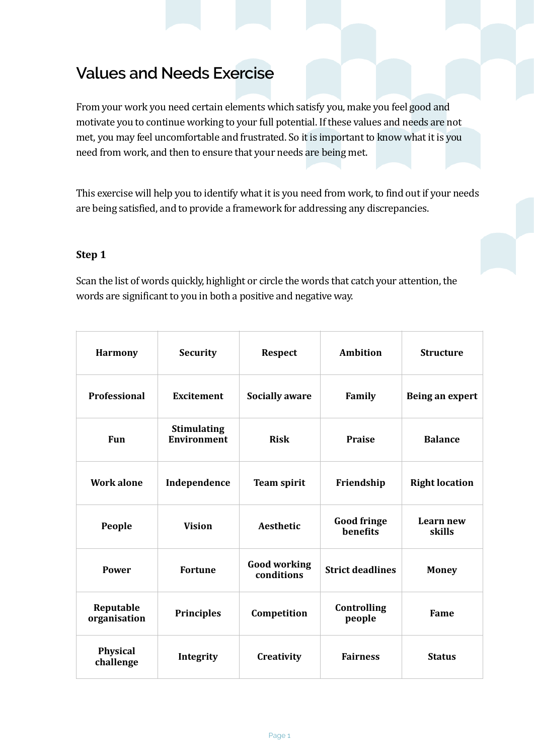# **Values and Needs Exercise**

From your work you need certain elements which satisfy you, make you feel good and motivate you to continue working to your full potential. If these values and needs are not met, you may feel uncomfortable and frustrated. So it is important to know what it is you need from work, and then to ensure that your needs are being met.

This exercise will help you to identify what it is you need from work, to find out if your needs are being satisfied, and to provide a framework for addressing any discrepancies.

## Step 1

Scan the list of words quickly, highlight or circle the words that catch your attention, the words are significant to you in both a positive and negative way.

| <b>Harmony</b>            | <b>Security</b>                          | <b>Respect</b>                    | <b>Ambition</b>                       | <b>Structure</b>      |
|---------------------------|------------------------------------------|-----------------------------------|---------------------------------------|-----------------------|
| <b>Professional</b>       | <b>Excitement</b>                        | <b>Socially aware</b>             | Family                                | Being an expert       |
| <b>Fun</b>                | <b>Stimulating</b><br><b>Environment</b> | <b>Risk</b>                       | <b>Praise</b>                         | <b>Balance</b>        |
| <b>Work alone</b>         | Independence                             | <b>Team spirit</b>                | Friendship                            | <b>Right location</b> |
| People                    | <b>Vision</b>                            | <b>Aesthetic</b>                  | <b>Good fringe</b><br><b>benefits</b> | Learn new<br>skills   |
| <b>Power</b>              | <b>Fortune</b>                           | <b>Good working</b><br>conditions | <b>Strict deadlines</b>               | <b>Money</b>          |
| Reputable<br>organisation | <b>Principles</b>                        | Competition                       | Controlling<br>people                 | Fame                  |
| Physical<br>challenge     | Integrity                                | Creativity                        | <b>Fairness</b>                       | <b>Status</b>         |